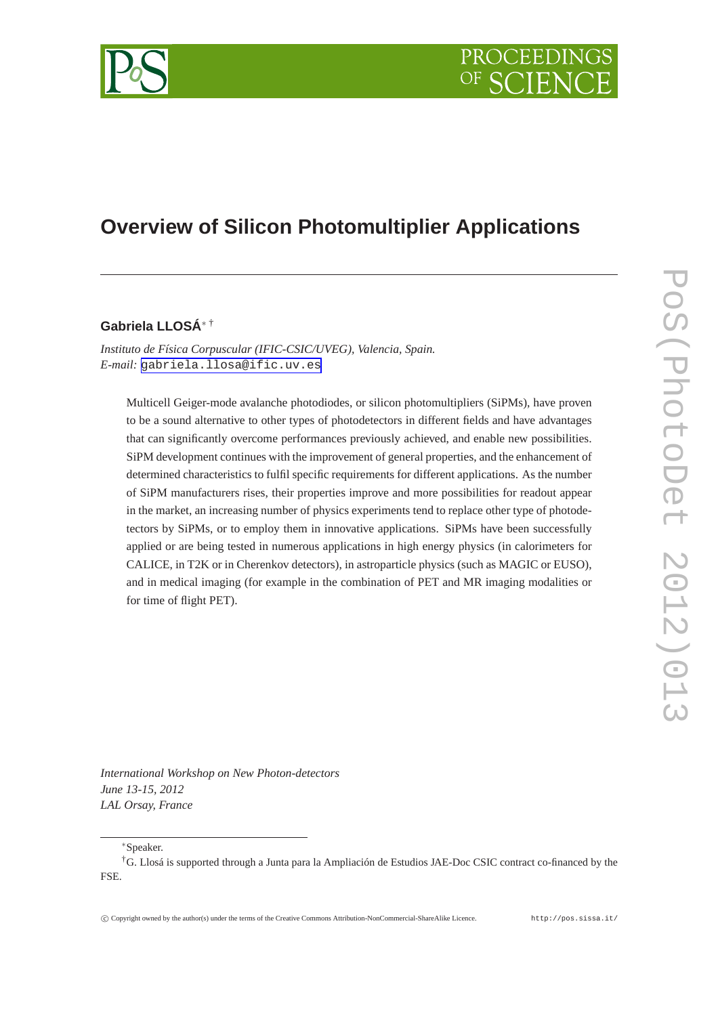

# **Overview of Silicon Photomultiplier Applications**

# **Gabriela LLOSÁ**<sup>∗</sup> †

*Instituto de Física Corpuscular (IFIC-CSIC/UVEG), Valencia, Spain. E-mail:* [gabriela.llosa@ific.uv.es](mailto:gabriela.llosa@ific.uv.es)

Multicell Geiger-mode avalanche photodiodes, or silicon photomultipliers (SiPMs), have proven to be a sound alternative to other types of photodetectors in different fields and have advantages that can significantly overcome performances previously achieved, and enable new possibilities. SiPM development continues with the improvement of general properties, and the enhancement of determined characteristics to fulfil specific requirements for different applications. As the number of SiPM manufacturers rises, their properties improve and more possibilities for readout appear in the market, an increasing number of physics experiments tend to replace other type of photodetectors by SiPMs, or to employ them in innovative applications. SiPMs have been successfully applied or are being tested in numerous applications in high energy physics (in calorimeters for CALICE, in T2K or in Cherenkov detectors), in astroparticle physics (such as MAGIC or EUSO), and in medical imaging (for example in the combination of PET and MR imaging modalities or for time of flight PET).

*International Workshop on New Photon-detectors June 13-15, 2012 LAL Orsay, France*

<sup>∗</sup>Speaker.

<sup>†</sup>G. Llosá is supported through a Junta para la Ampliación de Estudios JAE-Doc CSIC contract co-financed by the FSE.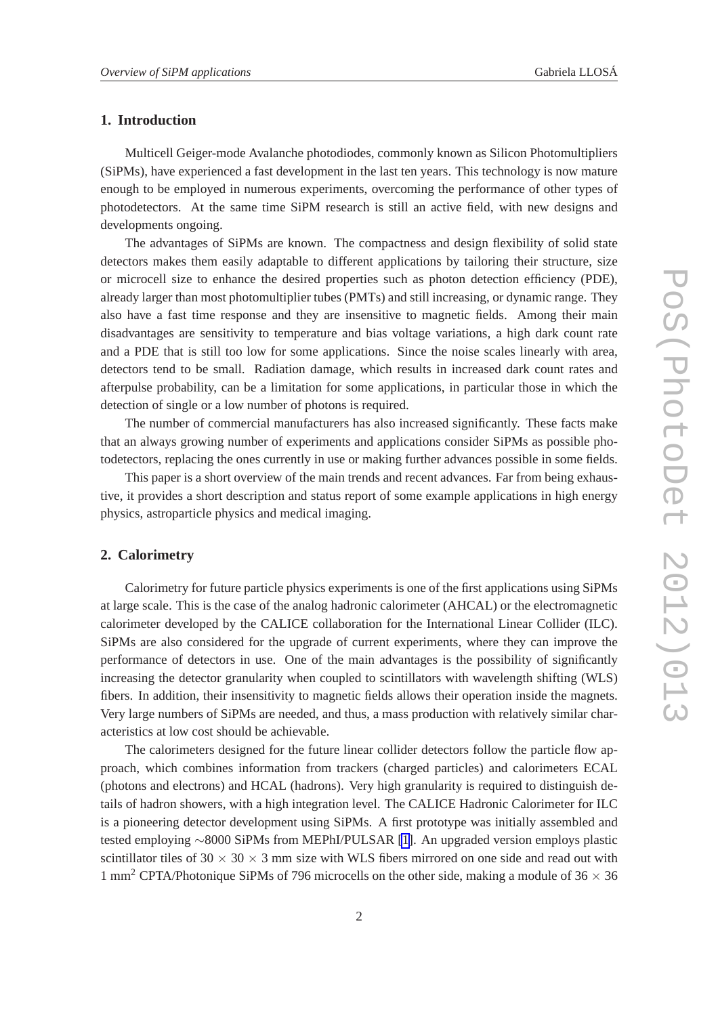## **1. Introduction**

Multicell Geiger-mode Avalanche photodiodes, commonly known as Silicon Photomultipliers (SiPMs), have experienced a fast development in the last ten years. This technology is now mature enough to be employed in numerous experiments, overcoming the performance of other types of photodetectors. At the same time SiPM research is still an active field, with new designs and developments ongoing.

The advantages of SiPMs are known. The compactness and design flexibility of solid state detectors makes them easily adaptable to different applications by tailoring their structure, size or microcell size to enhance the desired properties such as photon detection efficiency (PDE), already larger than most photomultiplier tubes (PMTs) and still increasing, or dynamic range. They also have a fast time response and they are insensitive to magnetic fields. Among their main disadvantages are sensitivity to temperature and bias voltage variations, a high dark count rate and a PDE that is still too low for some applications. Since the noise scales linearly with area, detectors tend to be small. Radiation damage, which results in increased dark count rates and afterpulse probability, can be a limitation for some applications, in particular those in which the detection of single or a low number of photons is required.

The number of commercial manufacturers has also increased significantly. These facts make that an always growing number of experiments and applications consider SiPMs as possible photodetectors, replacing the ones currently in use or making further advances possible in some fields.

This paper is a short overview of the main trends and recent advances. Far from being exhaustive, it provides a short description and status report of some example applications in high energy physics, astroparticle physics and medical imaging.

#### **2. Calorimetry**

Calorimetry for future particle physics experiments is one of the first applications using SiPMs at large scale. This is the case of the analog hadronic calorimeter (AHCAL) or the electromagnetic calorimeter developed by the CALICE collaboration for the International Linear Collider (ILC). SiPMs are also considered for the upgrade of current experiments, where they can improve the performance of detectors in use. One of the main advantages is the possibility of significantly increasing the detector granularity when coupled to scintillators with wavelength shifting (WLS) fibers. In addition, their insensitivity to magnetic fields allows their operation inside the magnets. Very large numbers of SiPMs are needed, and thus, a mass production with relatively similar characteristics at low cost should be achievable.

The calorimeters designed for the future linear collider detectors follow the particle flow approach, which combines information from trackers (charged particles) and calorimeters ECAL (photons and electrons) and HCAL (hadrons). Very high granularity is required to distinguish details of hadron showers, with a high integration level. The CALICE Hadronic Calorimeter for ILC is a pioneering detector development using SiPMs. A first prototype was initially assembled and tested employing ∼8000 SiPMs from MEPhI/PULSAR [\[1\]](#page-7-0). An upgraded version employs plastic scintillator tiles of  $30 \times 30 \times 3$  mm size with WLS fibers mirrored on one side and read out with 1 mm<sup>2</sup> CPTA/Photonique SiPMs of 796 microcells on the other side, making a module of  $36 \times 36$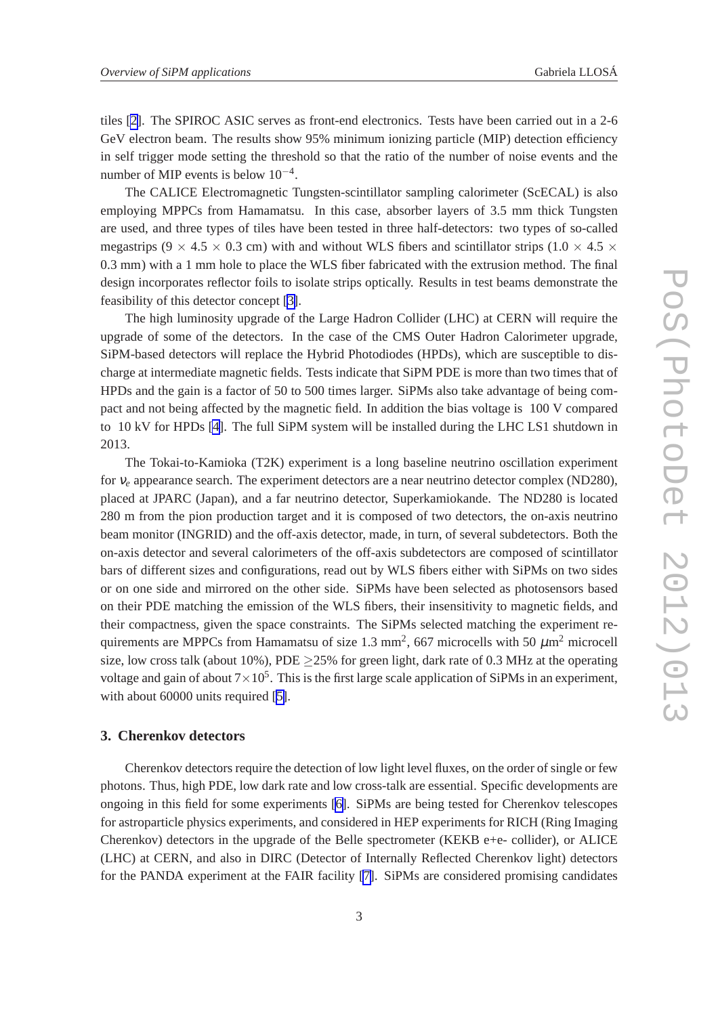tiles [\[2\]](#page-7-0). The SPIROC ASIC serves as front-end electronics. Tests have been carried out in a 2-6 GeV electron beam. The results show 95% minimum ionizing particle (MIP) detection efficiency in self trigger mode setting the threshold so that the ratio of the number of noise events and the number of MIP events is below  $10^{-4}$ .

The CALICE Electromagnetic Tungsten-scintillator sampling calorimeter (ScECAL) is also employing MPPCs from Hamamatsu. In this case, absorber layers of 3.5 mm thick Tungsten are used, and three types of tiles have been tested in three half-detectors: two types of so-called megastrips (9  $\times$  4.5  $\times$  0.3 cm) with and without WLS fibers and scintillator strips (1.0  $\times$  4.5  $\times$ 0.3 mm) with a 1 mm hole to place the WLS fiber fabricated with the extrusion method. The final design incorporates reflector foils to isolate strips optically. Results in test beams demonstrate the feasibility of this detector concept [\[3\]](#page-7-0).

The high luminosity upgrade of the Large Hadron Collider (LHC) at CERN will require the upgrade of some of the detectors. In the case of the CMS Outer Hadron Calorimeter upgrade, SiPM-based detectors will replace the Hybrid Photodiodes (HPDs), which are susceptible to discharge at intermediate magnetic fields. Tests indicate that SiPM PDE is more than two times that of HPDs and the gain is a factor of 50 to 500 times larger. SiPMs also take advantage of being compact and not being affected by the magnetic field. In addition the bias voltage is 100 V compared to 10 kV for HPDs [\[4\]](#page-7-0). The full SiPM system will be installed during the LHC LS1 shutdown in 2013.

The Tokai-to-Kamioka (T2K) experiment is a long baseline neutrino oscillation experiment for <sup>ν</sup>*<sup>e</sup>* appearance search. The experiment detectors are a near neutrino detector complex (ND280), placed at JPARC (Japan), and a far neutrino detector, Superkamiokande. The ND280 is located 280 m from the pion production target and it is composed of two detectors, the on-axis neutrino beam monitor (INGRID) and the off-axis detector, made, in turn, of several subdetectors. Both the on-axis detector and several calorimeters of the off-axis subdetectors are composed of scintillator bars of different sizes and configurations, read out by WLS fibers either with SiPMs on two sides or on one side and mirrored on the other side. SiPMs have been selected as photosensors based on their PDE matching the emission of the WLS fibers, their insensitivity to magnetic fields, and their compactness, given the space constraints. The SiPMs selected matching the experiment requirements are MPPCs from Hamamatsu of size 1.3 mm<sup>2</sup>, 667 microcells with 50  $\mu$ m<sup>2</sup> microcell size, low cross talk (about 10%), PDE  $\geq$  25% for green light, dark rate of 0.3 MHz at the operating voltage and gain of about  $7 \times 10^5$ . This is the first large scale application of SiPMs in an experiment, with about 60000 units required [\[5\]](#page-7-0).

## **3. Cherenkov detectors**

Cherenkov detectors require the detection of low light level fluxes, on the order of single or few photons. Thus, high PDE, low dark rate and low cross-talk are essential. Specific developments are ongoing in this field for some experiments [\[6\]](#page-7-0). SiPMs are being tested for Cherenkov telescopes for astroparticle physics experiments, and considered in HEP experiments for RICH (Ring Imaging Cherenkov) detectors in the upgrade of the Belle spectrometer (KEKB e+e- collider), or ALICE (LHC) at CERN, and also in DIRC (Detector of Internally Reflected Cherenkov light) detectors for the PANDA experiment at the FAIR facility [\[7\]](#page-7-0). SiPMs are considered promising candidates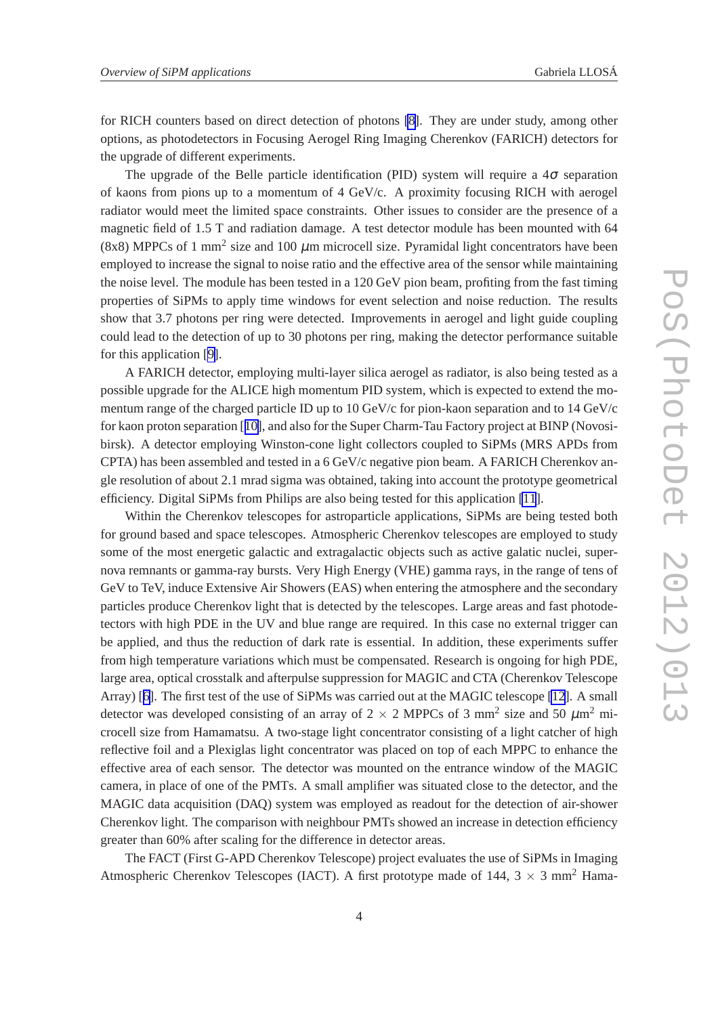for RICH counters based on direct detection of photons [\[8\]](#page-7-0). They are under study, among other options, as photodetectors in Focusing Aerogel Ring Imaging Cherenkov (FARICH) detectors for the upgrade of different experiments.

The upgrade of the Belle particle identification (PID) system will require a  $4\sigma$  separation of kaons from pions up to a momentum of 4 GeV/c. A proximity focusing RICH with aerogel radiator would meet the limited space constraints. Other issues to consider are the presence of a magnetic field of 1.5 T and radiation damage. A test detector module has been mounted with 64 (8x8) MPPCs of 1 mm<sup>2</sup> size and 100  $\mu$ m microcell size. Pyramidal light concentrators have been employed to increase the signal to noise ratio and the effective area of the sensor while maintaining the noise level. The module has been tested in a 120 GeV pion beam, profiting from the fast timing properties of SiPMs to apply time windows for event selection and noise reduction. The results show that 3.7 photons per ring were detected. Improvements in aerogel and light guide coupling could lead to the detection of up to 30 photons per ring, making the detector performance suitable for this application [\[9\]](#page-7-0).

A FARICH detector, employing multi-layer silica aerogel as radiator, is also being tested as a possible upgrade for the ALICE high momentum PID system, which is expected to extend the momentum range of the charged particle ID up to 10 GeV/c for pion-kaon separation and to 14 GeV/c for kaon proton separation [[10\]](#page-7-0), and also for the Super Charm-Tau Factory project at BINP (Novosibirsk). A detector employing Winston-cone light collectors coupled to SiPMs (MRS APDs from CPTA) has been assembled and tested in a 6 GeV/c negative pion beam. A FARICH Cherenkov angle resolution of about 2.1 mrad sigma was obtained, taking into account the prototype geometrical efficiency. Digital SiPMs from Philips are also being tested for this application [\[11](#page-7-0)].

Within the Cherenkov telescopes for astroparticle applications, SiPMs are being tested both for ground based and space telescopes. Atmospheric Cherenkov telescopes are employed to study some of the most energetic galactic and extragalactic objects such as active galatic nuclei, supernova remnants or gamma-ray bursts. Very High Energy (VHE) gamma rays, in the range of tens of GeV to TeV, induce Extensive Air Showers (EAS) when entering the atmosphere and the secondary particles produce Cherenkov light that is detected by the telescopes. Large areas and fast photodetectors with high PDE in the UV and blue range are required. In this case no external trigger can be applied, and thus the reduction of dark rate is essential. In addition, these experiments suffer from high temperature variations which must be compensated. Research is ongoing for high PDE, large area, optical crosstalk and afterpulse suppression for MAGIC and CTA (Cherenkov Telescope Array) [[6\]](#page-7-0). The first test of the use of SiPMs was carried out at the MAGIC telescope [\[12](#page-7-0)]. A small detector was developed consisting of an array of 2  $\times$  2 MPPCs of 3 mm<sup>2</sup> size and 50  $\mu$ m<sup>2</sup> microcell size from Hamamatsu. A two-stage light concentrator consisting of a light catcher of high reflective foil and a Plexiglas light concentrator was placed on top of each MPPC to enhance the effective area of each sensor. The detector was mounted on the entrance window of the MAGIC camera, in place of one of the PMTs. A small amplifier was situated close to the detector, and the MAGIC data acquisition (DAQ) system was employed as readout for the detection of air-shower Cherenkov light. The comparison with neighbour PMTs showed an increase in detection efficiency greater than 60% after scaling for the difference in detector areas.

The FACT (First G-APD Cherenkov Telescope) project evaluates the use of SiPMs in Imaging Atmospheric Cherenkov Telescopes (IACT). A first prototype made of 144,  $3 \times 3$  mm<sup>2</sup> Hama-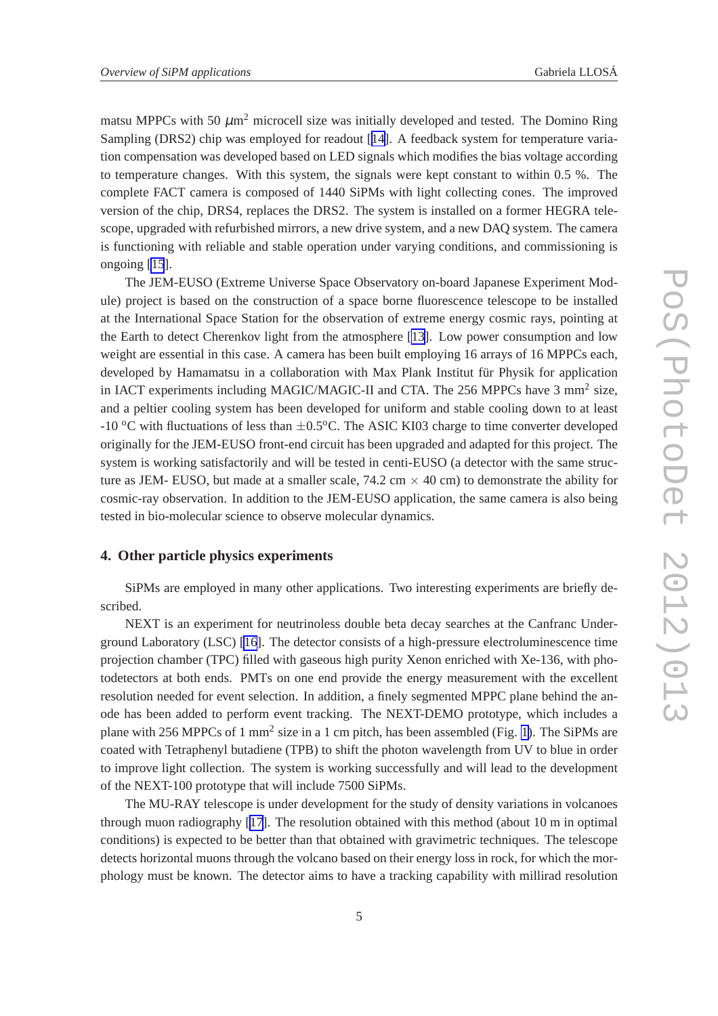matsu MPPCs with 50  $\mu$ m<sup>2</sup> microcell size was initially developed and tested. The Domino Ring Sampling (DRS2) chip was employed for readout [[14\]](#page-8-0). A feedback system for temperature variation compensation was developed based on LED signals which modifies the bias voltage according to temperature changes. With this system, the signals were kept constant to within 0.5 %. The complete FACT camera is composed of 1440 SiPMs with light collecting cones. The improved version of the chip, DRS4, replaces the DRS2. The system is installed on a former HEGRA telescope, upgraded with refurbished mirrors, a new drive system, and a new DAQ system. The camera is functioning with reliable and stable operation under varying conditions, and commissioning is ongoing [\[15](#page-8-0)].

The JEM-EUSO (Extreme Universe Space Observatory on-board Japanese Experiment Module) project is based on the construction of a space borne fluorescence telescope to be installed at the International Space Station for the observation of extreme energy cosmic rays, pointing at the Earth to detect Cherenkov light from the atmosphere [\[13\]](#page-8-0). Low power consumption and low weight are essential in this case. A camera has been built employing 16 arrays of 16 MPPCs each, developed by Hamamatsu in a collaboration with Max Plank Institut für Physik for application in IACT experiments including MAGIC/MAGIC-II and CTA. The 256 MPPCs have 3 mm<sup>2</sup> size, and a peltier cooling system has been developed for uniform and stable cooling down to at least  $-10$  °C with fluctuations of less than  $\pm 0.5$ °C. The ASIC KI03 charge to time converter developed originally for the JEM-EUSO front-end circuit has been upgraded and adapted for this project. The system is working satisfactorily and will be tested in centi-EUSO (a detector with the same structure as JEM- EUSO, but made at a smaller scale,  $74.2 \text{ cm} \times 40 \text{ cm}$ ) to demonstrate the ability for cosmic-ray observation. In addition to the JEM-EUSO application, the same camera is also being tested in bio-molecular science to observe molecular dynamics.

# **4. Other particle physics experiments**

SiPMs are employed in many other applications. Two interesting experiments are briefly described.

NEXT is an experiment for neutrinoless double beta decay searches at the Canfranc Underground Laboratory (LSC) [\[16](#page-8-0)]. The detector consists of a high-pressure electroluminescence time projection chamber (TPC) filled with gaseous high purity Xenon enriched with Xe-136, with photodetectors at both ends. PMTs on one end provide the energy measurement with the excellent resolution needed for event selection. In addition, a finely segmented MPPC plane behind the anode has been added to perform event tracking. The NEXT-DEMO prototype, which includes a plane with 256 MPPCs of 1 mm<sup>2</sup> size in a 1 cm pitch, has been assembled (Fig. [1\)](#page-5-0). The SiPMs are coated with Tetraphenyl butadiene (TPB) to shift the photon wavelength from UV to blue in order to improve light collection. The system is working successfully and will lead to the development of the NEXT-100 prototype that will include 7500 SiPMs.

The MU-RAY telescope is under development for the study of density variations in volcanoes through muon radiography [\[17\]](#page-8-0). The resolution obtained with this method (about 10 m in optimal conditions) is expected to be better than that obtained with gravimetric techniques. The telescope detects horizontal muons through the volcano based on their energy loss in rock, for which the morphology must be known. The detector aims to have a tracking capability with millirad resolution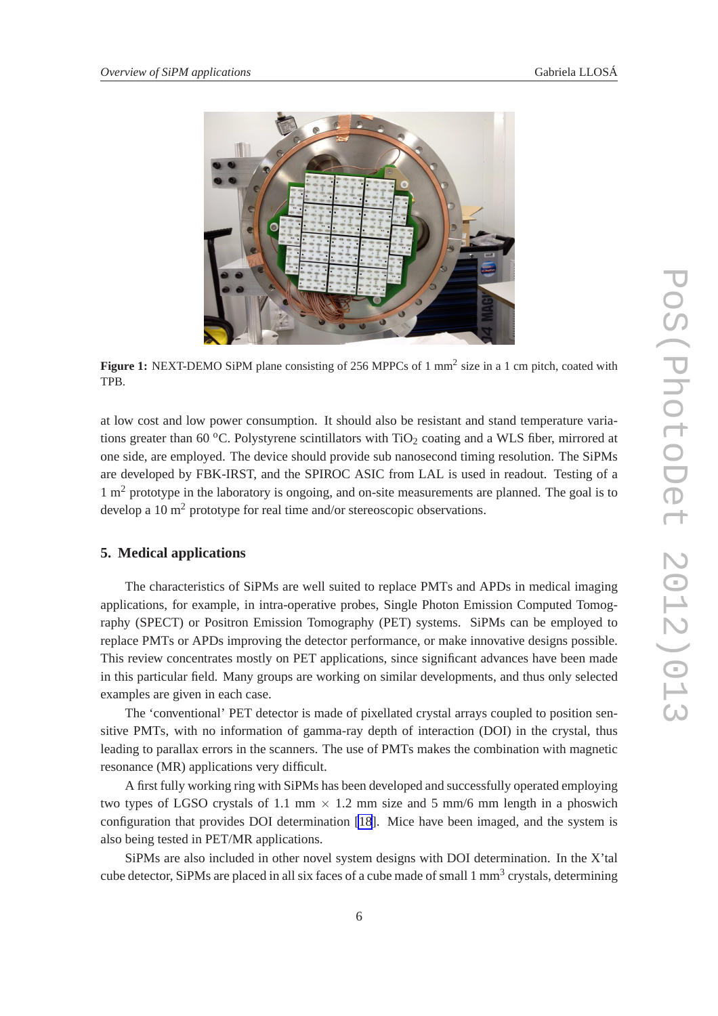<span id="page-5-0"></span>

Figure 1: NEXT-DEMO SiPM plane consisting of 256 MPPCs of 1 mm<sup>2</sup> size in a 1 cm pitch, coated with TPB.

at low cost and low power consumption. It should also be resistant and stand temperature variations greater than 60 °C. Polystyrene scintillators with  $TiO<sub>2</sub>$  coating and a WLS fiber, mirrored at one side, are employed. The device should provide sub nanosecond timing resolution. The SiPMs are developed by FBK-IRST, and the SPIROC ASIC from LAL is used in readout. Testing of a  $1 \text{ m}^2$  prototype in the laboratory is ongoing, and on-site measurements are planned. The goal is to develop a 10  $m<sup>2</sup>$  prototype for real time and/or stereoscopic observations.

# **5. Medical applications**

The characteristics of SiPMs are well suited to replace PMTs and APDs in medical imaging applications, for example, in intra-operative probes, Single Photon Emission Computed Tomography (SPECT) or Positron Emission Tomography (PET) systems. SiPMs can be employed to replace PMTs or APDs improving the detector performance, or make innovative designs possible. This review concentrates mostly on PET applications, since significant advances have been made in this particular field. Many groups are working on similar developments, and thus only selected examples are given in each case.

The 'conventional' PET detector is made of pixellated crystal arrays coupled to position sensitive PMTs, with no information of gamma-ray depth of interaction (DOI) in the crystal, thus leading to parallax errors in the scanners. The use of PMTs makes the combination with magnetic resonance (MR) applications very difficult.

A first fully working ring with SiPMs has been developed and successfully operated employing two types of LGSO crystals of 1.1 mm  $\times$  1.2 mm size and 5 mm/6 mm length in a phoswich configuration that provides DOI determination [\[18](#page-8-0)]. Mice have been imaged, and the system is also being tested in PET/MR applications.

SiPMs are also included in other novel system designs with DOI determination. In the X'tal cube detector, SiPMs are placed in all six faces of a cube made of small 1 mm<sup>3</sup> crystals, determining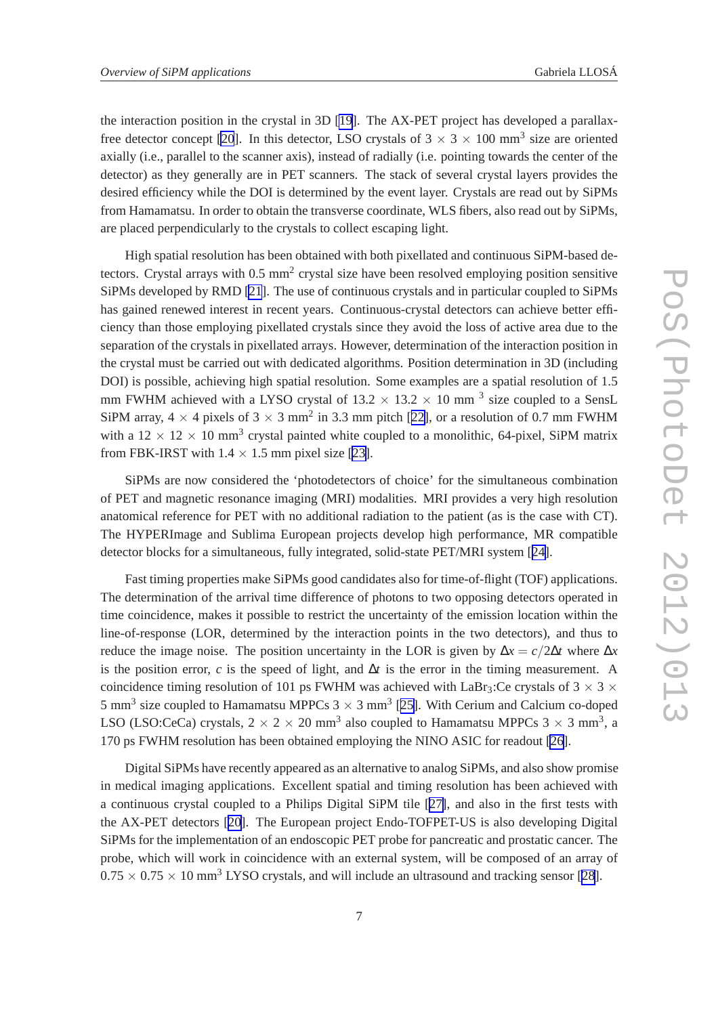the interaction position in the crystal in 3D [\[19](#page-8-0)]. The AX-PET project has developed a parallax-free detector concept [\[20](#page-8-0)]. In this detector, LSO crystals of  $3 \times 3 \times 100$  mm<sup>3</sup> size are oriented axially (i.e., parallel to the scanner axis), instead of radially (i.e. pointing towards the center of the detector) as they generally are in PET scanners. The stack of several crystal layers provides the desired efficiency while the DOI is determined by the event layer. Crystals are read out by SiPMs from Hamamatsu. In order to obtain the transverse coordinate, WLS fibers, also read out by SiPMs, are placed perpendicularly to the crystals to collect escaping light.

High spatial resolution has been obtained with both pixellated and continuous SiPM-based detectors. Crystal arrays with 0.5 mm<sup>2</sup> crystal size have been resolved employing position sensitive SiPMs developed by RMD [\[21](#page-8-0)]. The use of continuous crystals and in particular coupled to SiPMs has gained renewed interest in recent years. Continuous-crystal detectors can achieve better efficiency than those employing pixellated crystals since they avoid the loss of active area due to the separation of the crystals in pixellated arrays. However, determination of the interaction position in the crystal must be carried out with dedicated algorithms. Position determination in 3D (including DOI) is possible, achieving high spatial resolution. Some examples are a spatial resolution of 1.5 mm FWHM achieved with a LYSO crystal of  $13.2 \times 13.2 \times 10$  mm <sup>3</sup> size coupled to a SensL SiPM array,  $4 \times 4$  pixels of  $3 \times 3$  mm<sup>2</sup> in 3.3 mm pitch [[22\]](#page-8-0), or a resolution of 0.7 mm FWHM with a  $12 \times 12 \times 10$  mm<sup>3</sup> crystal painted white coupled to a monolithic, 64-pixel, SiPM matrix from FBK-IRST with  $1.4 \times 1.5$  mm pixel size [[23\]](#page-8-0).

SiPMs are now considered the 'photodetectors of choice' for the simultaneous combination of PET and magnetic resonance imaging (MRI) modalities. MRI provides a very high resolution anatomical reference for PET with no additional radiation to the patient (as is the case with CT). The HYPERImage and Sublima European projects develop high performance, MR compatible detector blocks for a simultaneous, fully integrated, solid-state PET/MRI system [[24\]](#page-8-0).

Fast timing properties make SiPMs good candidates also for time-of-flight (TOF) applications. The determination of the arrival time difference of photons to two opposing detectors operated in time coincidence, makes it possible to restrict the uncertainty of the emission location within the line-of-response (LOR, determined by the interaction points in the two detectors), and thus to reduce the image noise. The position uncertainty in the LOR is given by  $\Delta x = c/2\Delta t$  where  $\Delta x$ is the position error, *c* is the speed of light, and  $\Delta t$  is the error in the timing measurement. A coincidence timing resolution of 101 ps FWHM was achieved with LaBr<sub>3</sub>:Ce crystals of  $3 \times 3 \times$ 5 mm<sup>3</sup> size coupled to Hamamatsu MPPCs  $3 \times 3$  mm<sup>3</sup> [[25\]](#page-8-0). With Cerium and Calcium co-doped LSO (LSO:CeCa) crystals,  $2 \times 2 \times 20$  mm<sup>3</sup> also coupled to Hamamatsu MPPCs  $3 \times 3$  mm<sup>3</sup>, a 170 ps FWHM resolution has been obtained employing the NINO ASIC for readout [\[26](#page-8-0)].

Digital SiPMs have recently appeared as an alternative to analog SiPMs, and also show promise in medical imaging applications. Excellent spatial and timing resolution has been achieved with a continuous crystal coupled to a Philips Digital SiPM tile [[27\]](#page-8-0), and also in the first tests with the AX-PET detectors [\[20\]](#page-8-0). The European project Endo-TOFPET-US is also developing Digital SiPMs for the implementation of an endoscopic PET probe for pancreatic and prostatic cancer. The probe, which will work in coincidence with an external system, will be composed of an array of  $0.75 \times 0.75 \times 10$  mm<sup>3</sup> LYSO crystals, and will include an ultrasound and tracking sensor [\[28](#page-8-0)].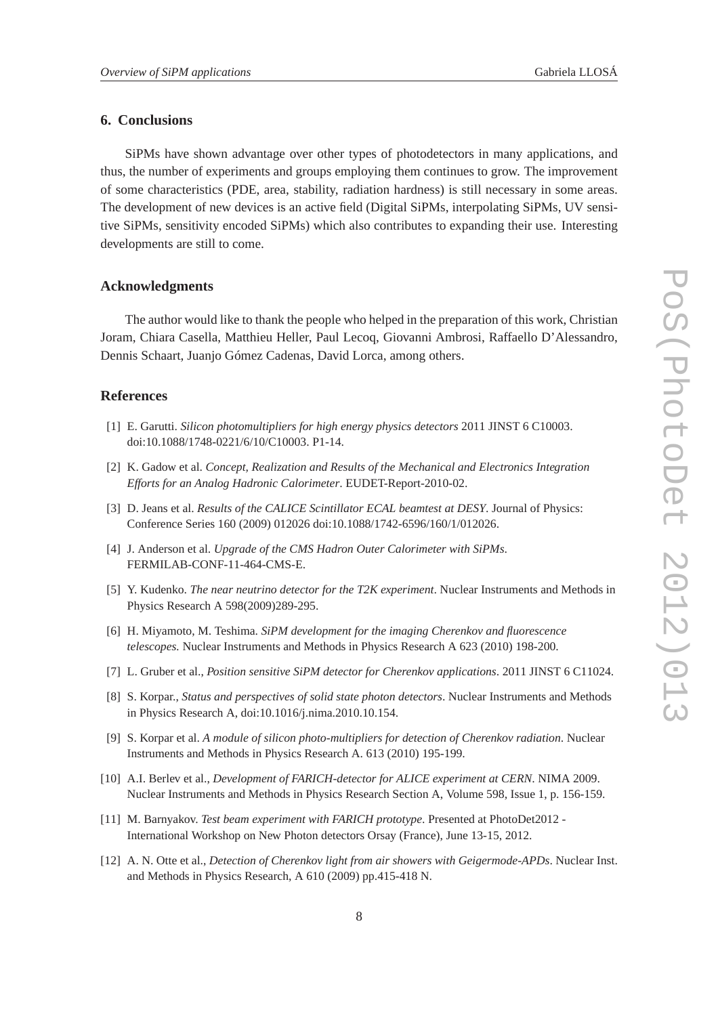## <span id="page-7-0"></span>**6. Conclusions**

SiPMs have shown advantage over other types of photodetectors in many applications, and thus, the number of experiments and groups employing them continues to grow. The improvement of some characteristics (PDE, area, stability, radiation hardness) is still necessary in some areas. The development of new devices is an active field (Digital SiPMs, interpolating SiPMs, UV sensitive SiPMs, sensitivity encoded SiPMs) which also contributes to expanding their use. Interesting developments are still to come.

#### **Acknowledgments**

The author would like to thank the people who helped in the preparation of this work, Christian Joram, Chiara Casella, Matthieu Heller, Paul Lecoq, Giovanni Ambrosi, Raffaello D'Alessandro, Dennis Schaart, Juanjo Gómez Cadenas, David Lorca, among others.

#### **References**

- [1] E. Garutti. *Silicon photomultipliers for high energy physics detectors* 2011 JINST 6 C10003. doi:10.1088/1748-0221/6/10/C10003. P1-14.
- [2] K. Gadow et al. *Concept, Realization and Results of the Mechanical and Electronics Integration Efforts for an Analog Hadronic Calorimeter*. EUDET-Report-2010-02.
- [3] D. Jeans et al. *Results of the CALICE Scintillator ECAL beamtest at DESY*. Journal of Physics: Conference Series 160 (2009) 012026 doi:10.1088/1742-6596/160/1/012026.
- [4] J. Anderson et al. *Upgrade of the CMS Hadron Outer Calorimeter with SiPMs*. FERMILAB-CONF-11-464-CMS-E.
- [5] Y. Kudenko. *The near neutrino detector for the T2K experiment*. Nuclear Instruments and Methods in Physics Research A 598(2009)289-295.
- [6] H. Miyamoto, M. Teshima. *SiPM development for the imaging Cherenkov and fluorescence telescopes.* Nuclear Instruments and Methods in Physics Research A 623 (2010) 198-200.
- [7] L. Gruber et al., *Position sensitive SiPM detector for Cherenkov applications*. 2011 JINST 6 C11024.
- [8] S. Korpar., *Status and perspectives of solid state photon detectors*. Nuclear Instruments and Methods in Physics Research A, doi:10.1016/j.nima.2010.10.154.
- [9] S. Korpar et al. *A module of silicon photo-multipliers for detection of Cherenkov radiation*. Nuclear Instruments and Methods in Physics Research A. 613 (2010) 195-199.
- [10] A.I. Berlev et al., *Development of FARICH-detector for ALICE experiment at CERN*. NIMA 2009. Nuclear Instruments and Methods in Physics Research Section A, Volume 598, Issue 1, p. 156-159.
- [11] M. Barnyakov. *Test beam experiment with FARICH prototype*. Presented at PhotoDet2012 International Workshop on New Photon detectors Orsay (France), June 13-15, 2012.
- [12] A. N. Otte et al., *Detection of Cherenkov light from air showers with Geigermode-APDs*. Nuclear Inst. and Methods in Physics Research, A 610 (2009) pp.415-418 N.